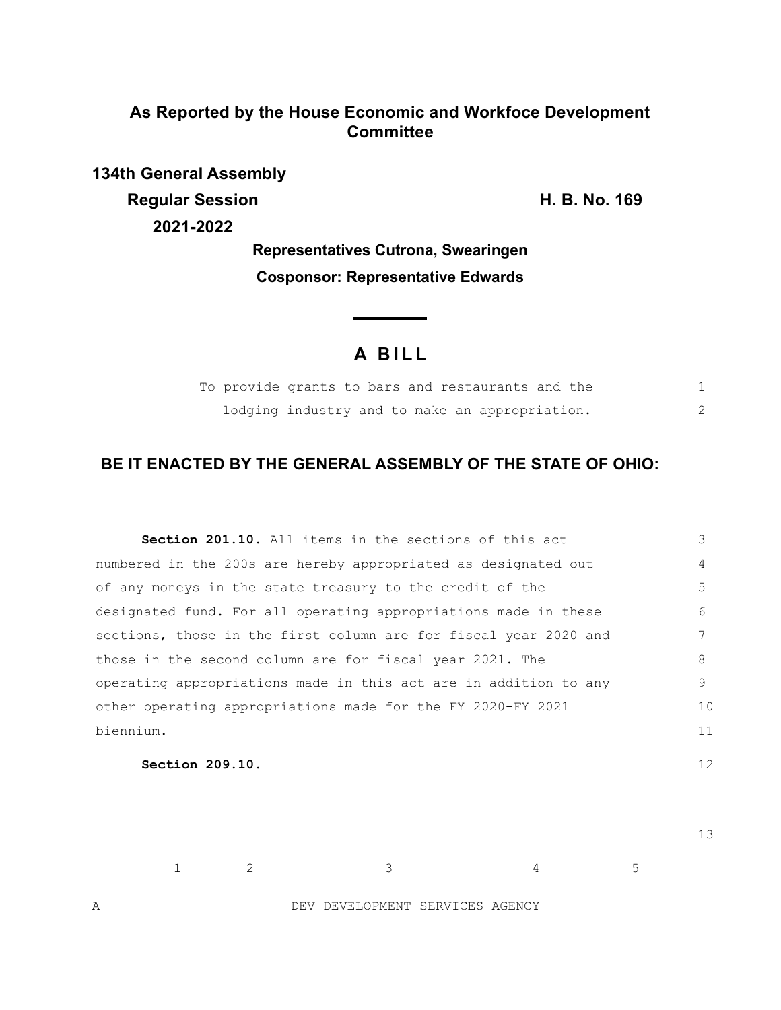## **As Reported by the House Economic and Workfoce Development Committee**

**134th General Assembly Regular Session H. B. No. 169 2021-2022**

**Representatives Cutrona, Swearingen Cosponsor: Representative Edwards**

# **A BILL**

| To provide grants to bars and restaurants and the |                                                |  |  |  |  |
|---------------------------------------------------|------------------------------------------------|--|--|--|--|
|                                                   | lodging industry and to make an appropriation. |  |  |  |  |

## **BE IT ENACTED BY THE GENERAL ASSEMBLY OF THE STATE OF OHIO:**

| <b>Section 201.10.</b> All items in the sections of this act     | 3  |
|------------------------------------------------------------------|----|
| numbered in the 200s are hereby appropriated as designated out   | 4  |
| of any moneys in the state treasury to the credit of the         | 5  |
| designated fund. For all operating appropriations made in these  | 6  |
| sections, those in the first column are for fiscal year 2020 and |    |
| those in the second column are for fiscal year 2021. The         | 8  |
| operating appropriations made in this act are in addition to any | 9  |
| other operating appropriations made for the FY 2020-FY 2021      | 10 |
| biennium.                                                        | 11 |
|                                                                  |    |

**Section 209.10.** 

13

12

1 2 3 4 5

A DEV DEVELOPMENT SERVICES AGENCY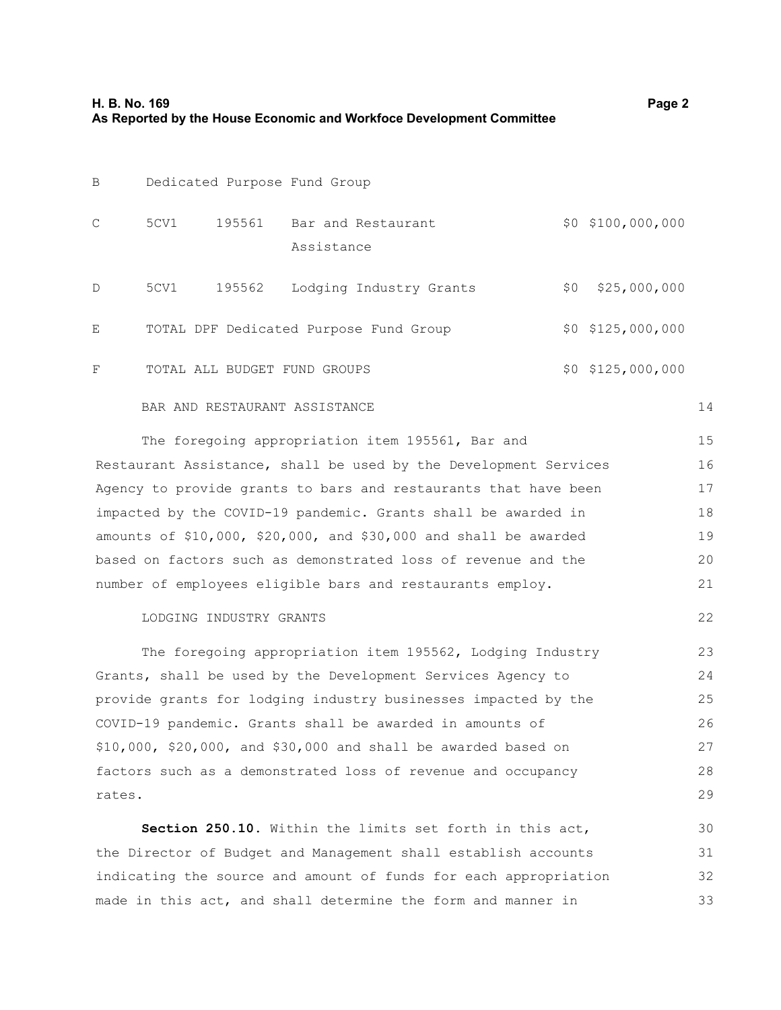| B |      |        | Dedicated Purpose Fund Group           |     |                     |
|---|------|--------|----------------------------------------|-----|---------------------|
| C | 5CV1 | 195561 | Bar and Restaurant<br>Assistance       |     | $$0$ $$100,000,000$ |
| D | 5CV1 | 195562 | Lodging Industry Grants                | \$0 | \$25,000,000        |
| Ε |      |        | TOTAL DPF Dedicated Purpose Fund Group |     | $$0$ $$125,000,000$ |
| F |      |        | TOTAL ALL BUDGET FUND GROUPS           |     | $$0$ $$125,000,000$ |

#### BAR AND RESTAURANT ASSISTANCE

14

22

| The foregoing appropriation item 195561, Bar and                      | 15 |
|-----------------------------------------------------------------------|----|
| Restaurant Assistance, shall be used by the Development Services      | 16 |
| Agency to provide grants to bars and restaurants that have been       | 17 |
| impacted by the COVID-19 pandemic. Grants shall be awarded in         | 18 |
| amounts of $$10,000$ , $$20,000$ , and $$30,000$ and shall be awarded | 19 |
| based on factors such as demonstrated loss of revenue and the         | 20 |
| number of employees eligible bars and restaurants employ.             | 21 |

#### LODGING INDUSTRY GRANTS

The foregoing appropriation item 195562, Lodging Industry Grants, shall be used by the Development Services Agency to provide grants for lodging industry businesses impacted by the COVID-19 pandemic. Grants shall be awarded in amounts of \$10,000, \$20,000, and \$30,000 and shall be awarded based on factors such as a demonstrated loss of revenue and occupancy rates. 23 24 25 26 27 28 29

**Section 250.10.** Within the limits set forth in this act, the Director of Budget and Management shall establish accounts indicating the source and amount of funds for each appropriation made in this act, and shall determine the form and manner in 30 31 32 33